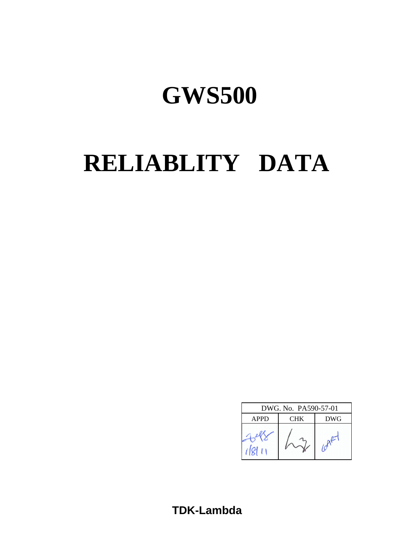# **RELIABLITY DATA**

| DWG. No. PA590-57-01 |     |            |  |
|----------------------|-----|------------|--|
| <b>APPD</b>          | CHK | <b>DWG</b> |  |
|                      |     |            |  |

# **TDK-Lambda**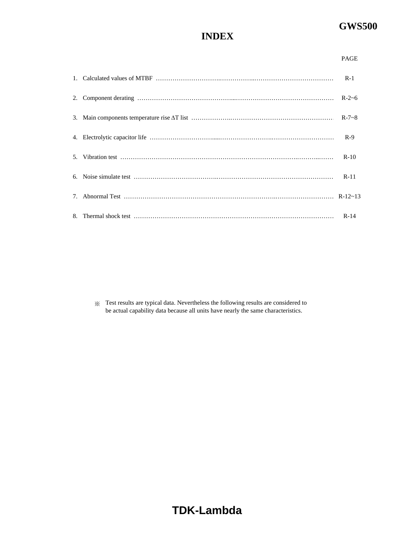# **INDEX**

| н<br>C. |  |
|---------|--|
| ×       |  |

|  | $R - 7 - 8$ |
|--|-------------|
|  |             |
|  | $R-10$      |
|  |             |
|  |             |
|  |             |

※ Test results are typical data. Nevertheless the following results are considered to be actual capability data because all units have nearly the same characteristics.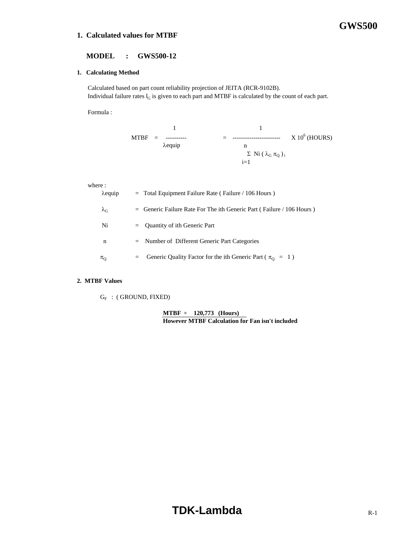## **1. Calculated values for MTBF**

# **GWS500**

## **MODEL : GWS500-12**

## **1. Calculating Method**

 Calculated based on part count reliability projection of JEITA (RCR-9102B). Individual failure rates  $I_G$  is given to each part and MTBF is calculated by the count of each part.

Formula :

1 1 MTBF = ---------- = ----------------------- X 106 (HOURS) λequip n Σ Ni ( $\lambda$ <sub>G</sub> π<sub>Q</sub>)<sub>i</sub>  $i=1$ 

#### where :

|                   | $\lambda$ equip | $=$ Total Equipment Failure Rate (Failure / 106 Hours)                   |
|-------------------|-----------------|--------------------------------------------------------------------------|
| $\lambda_{\rm G}$ |                 | $=$ Generic Failure Rate For The ith Generic Part (Failure / 106 Hours)  |
| Ni                |                 | $=$ Quantity of ith Generic Part                                         |
| n                 |                 | $=$ Number of Different Generic Part Categories                          |
| $\pi_{\rm O}$     | $=$             | Generic Quality Factor for the ith Generic Part ( $\pi_{\text{O}} = 1$ ) |

#### **2. MTBF Values**

 $\mathrm{G_F}\;$  : ( GROUND, FIXED)

**MTBF = 120,773 (Hours) However MTBF Calculation for Fan isn't included**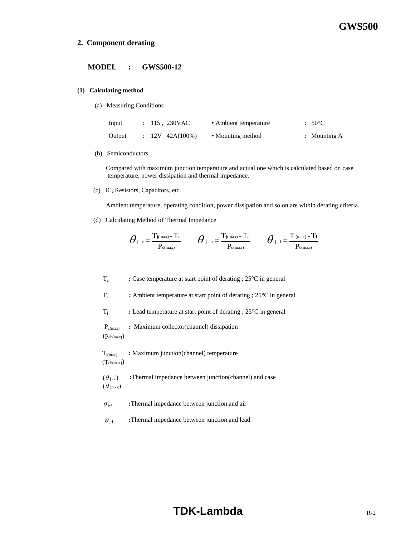#### **2. Component derating**

#### **MODEL : GWS500-12**

#### **(1) Calculating method**

(a) Measuring Conditions

| Input  | $: 115.230 \text{VAC}$ | • Ambient temperature | $.50^{\circ}$ C |
|--------|------------------------|-----------------------|-----------------|
| Output | $: 12V 42A(100\%)$     | • Mounting method     | : Mounting $A$  |

(b) Semiconductors

 Compared with maximum junction temperature and actual one which is calculated based on case temperature, power dissipation and thermal impedance.

(c) IC, Resistors, Capacitors, etc.

Ambient temperature, operating condition, power dissipation and so on are within derating criteria.

(d) Calculating Method of Thermal Impedance

$$
\boldsymbol{\theta}_{j-c} = \frac{T_{j(\max)} - T_c}{P_{c(\max)}} \qquad \boldsymbol{\theta}_{j-a} = \frac{T_{j(\max)} - T_a}{P_{c(\max)}} \qquad \boldsymbol{\theta}_{j-1} = \frac{T_{j(\max)} - T_1}{P_{c(\max)}}
$$

- T<sub>c</sub> : Case temperature at start point of derating ; 25<sup>o</sup>C in general
- Ta **:** Ambient temperature at start point of derating ; 25°C in general
- Tj **:** Lead temperature at start point of derating ; 25°C in general

 Pc(max) **:** Maximum collector(channel) dissipation (Pch**(**max**)**)

Tj(max) **:** Maximum junction(channel) temperature (Tch**(**max**)**)

 $(\theta_{i-c})$  **:**Thermal impedance between junction(channel) and case  $(\theta_{ch-c})$ 

- $\theta_{j-a}$  **:**Thermal impedance between junction and air
- $\theta_{j-1}$  **:**Thermal impedance between junction and lead

# **TDK-Lambda R-2**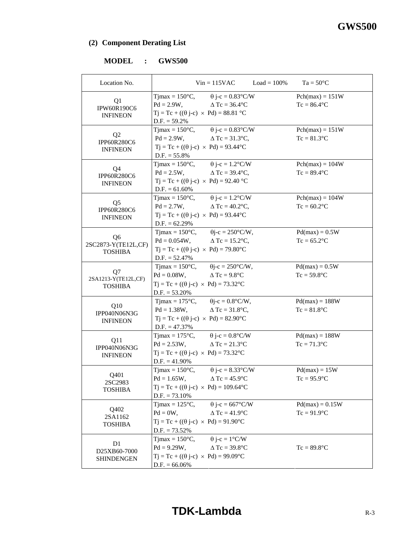# **(2) Component Derating List**

# **MODEL : GWS500**

| Location No.                                            | $Vin = 115VAC$<br>$Load = 100\%$                                                                                                                                                                  | $Ta = 50^{\circ}C$                  |
|---------------------------------------------------------|---------------------------------------------------------------------------------------------------------------------------------------------------------------------------------------------------|-------------------------------------|
| Q1<br>IPW60R190C6<br><b>INFINEON</b>                    | Tjmax = $150^{\circ}$ C, $\theta$ j-c = $0.83^{\circ}$ C/W<br>$\triangle$ Tc = 36.4 $\degree$ C<br>$Pd = 2.9W,$<br>$Tj = Tc + ((\theta j - c) \times Pd) = 88.81$ °C<br>$D.F. = 59.2\%$           | $Pch(max) = 151W$<br>$Tc = 86.4$ °C |
| Q <sub>2</sub><br>IPP60R280C6<br><b>INFINEON</b>        | Tjmax = $150^{\circ}$ C, $\theta$ j-c = $0.83^{\circ}$ C/W<br>$Pd = 2.9W,$<br>$\Delta$ Tc = 31.3°C,<br>$Tj = Tc + ((\theta j - c) \times Pd) = 93.44^{\circ}C$<br>$D.F. = 55.8\%$                 | $Pch(max) = 151W$<br>$Tc = 81.3$ °C |
| Q4<br>IPP60R280C6<br><b>INFINEON</b>                    | Tjmax = $150^{\circ}$ C, $\theta$ j-c = $1.2^{\circ}$ C/W<br>$Pd = 2.5W,$<br>$\Delta$ Tc = 39.4°C,<br>$Tj = Tc + ((\theta j - c) \times Pd) = 92.40 °C$<br>$D.F. = 61.60\%$                       | $Pch(max) = 104W$<br>$Tc = 89.4$ °C |
| Q <sub>5</sub><br>IPP60R280C6<br><b>INFINEON</b>        | Tjmax = $150^{\circ}$ C, $\theta$ j-c = $1.2^{\circ}$ C/W<br>$Pd = 2.7W,$<br>$\Delta$ Tc = 40.2°C,<br>$Tj = Tc + ((\theta j - c) \times Pd) = 93.44^{\circ}C$<br>$D.F. = 62.29\%$                 | $Pch(max) = 104W$<br>$Tc = 60.2$ °C |
| Q <sub>6</sub><br>2SC2873-Y(TE12L,CF)<br><b>TOSHIBA</b> | Tjmax = $150^{\circ}$ C, $\qquad \theta$ j-c = $250^{\circ}$ C/W,<br>$Pd = 0.054W$ , $\Delta Tc = 15.2^{\circ}C$ ,<br>$Tj = Tc + ((\theta j - c) \times Pd) = 79.80^{\circ}C$<br>$D.F. = 52.47\%$ | $Pd(max) = 0.5W$<br>$Tc = 65.2$ °C  |
| Q7<br>2SA1213-Y(TE12L,CF)<br><b>TOSHIBA</b>             | Tjmax = $150^{\circ}$ C, $\theta$ j-c = $250^{\circ}$ C/W,<br>$Pd = 0.08W,$<br>$\triangle$ Tc = 9.8°C<br>$Tj = Tc + ((\theta j - c) \times Pd) = 73.32^{\circ}C$<br>$D.F. = 53.20\%$              | $Pd(max) = 0.5W$<br>$Tc = 59.8$ °C  |
| Q10<br>IPP040N06N3G<br><b>INFINEON</b>                  | Tjmax = $175^{\circ}$ C, $\theta$ j-c = $0.8^{\circ}$ C/W,<br>$Pd = 1.38W,$<br>$\triangle$ Tc = 31.8°C,<br>$Tj = Tc + ((\theta j - c) \times Pd) = 82.90^{\circ}C$<br>$D.F. = 47.37\%$            | $Pd(max) = 188W$<br>$Tc = 81.8$ °C  |
| Q11<br>IPP040N06N3G<br><b>INFINEON</b>                  | Tjmax = $175^{\circ}$ C, $\theta$ j-c = $0.8^{\circ}$ C/W<br>$Pd = 2.53W,$<br>$\triangle$ Tc = 21.3°C<br>$Tj = Tc + ((\theta j - c) \times Pd) = 73.32$ °C<br>$D.F. = 41.90\%$                    | $Pd(max) = 188W$<br>$Tc = 71.3$ °C  |
| Q401<br>2SC2983<br><b>TOSHIBA</b>                       | $T$ jmax = 150 $\degree$ C,<br>$\theta$ j-c = 8.33°C/W<br>$Pd = 1.65W,$ $\Delta Tc = 45.9^{\circ}C$<br>$Tj = Tc + ((\theta j - c) \times Pd) = 109.64$ °C<br>$D.F. = 73.10\%$                     | $Pd(max) = 15W$<br>$Tc = 95.9$ °C   |
| Q402<br>2SA1162<br><b>TOSHIBA</b>                       | $\theta$ j-c = 667°C/W<br>Timax = $125^{\circ}$ C,<br>$Pd = 0W,$<br>$\triangle$ Tc = 41.9 $\degree$ C<br>$Tj = Tc + ((\theta j - c) \times Pd) = 91.90^{\circ}C$<br>$D.F. = 73.52\%$              | $Pd(max) = 0.15W$<br>$Tc = 91.9$ °C |
| D1<br>D25XB60-7000<br>SHINDENGEN                        | $\theta$ j-c = 1°C/W<br>Tjmax = $150^{\circ}$ C,<br>$Pd = 9.29W,$<br>$\triangle$ Tc = 39.8°C<br>$Tj = Tc + ((\theta j - c) \times Pd) = 99.09^{\circ}C$<br>$D.F. = 66.06\%$                       | $Tc = 89.8$ °C                      |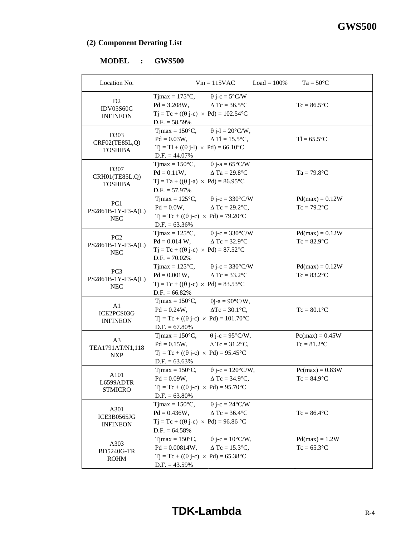# **(2) Component Derating List**

# **MODEL : GWS500**

| Location No.                                          |                                                                                                | $Vin = 115VAC$                                                                                                                                   | $Load = 100\%$ | $Ta = 50^{\circ}C$                  |
|-------------------------------------------------------|------------------------------------------------------------------------------------------------|--------------------------------------------------------------------------------------------------------------------------------------------------|----------------|-------------------------------------|
| D <sub>2</sub><br><b>IDV05S60C</b><br><b>INFINEON</b> | $D.F. = 58.59\%$                                                                               | Tjmax = 175°C, $\theta$ j-c = 5°C/W<br>$Pd = 3.208W,$ $\Delta Tc = 36.5^{\circ}C$<br>$Tj = Tc + ((\theta j - c) \times Pd) = 102.54$ °C          |                | $Tc = 86.5$ °C                      |
| D303<br>CRF02(TE85L,Q)<br><b>TOSHIBA</b>              | $Tj = Tl + ((\theta j-l) \times Pd) = 66.10^{\circ}C$<br>$D.F. = 44.07\%$                      | Tjmax = $150^{\circ}$ C, $\qquad \theta$ j-l = $20^{\circ}$ C/W,<br>$Pd = 0.03W,$ $\Delta Tl = 15.5^{\circ}C,$                                   |                | $T = 65.5$ °C                       |
| D307<br>CRH01(TE85L,Q)<br><b>TOSHIBA</b>              | $Tj = Ta + ((\theta j - a) \times Pd) = 86.95^{\circ}C$<br>$D.F. = 57.97\%$                    | Tjmax = $150^{\circ}$ C, $\theta$ j-a = $65^{\circ}$ C/W<br>$Pd = 0.11W$ , $\Delta Ta = 29.8^{\circ}C$                                           |                | $Ta = 79.8$ °C                      |
| PC <sub>1</sub><br>PS2861B-1Y-F3-A(L)<br><b>NEC</b>   | $Pd = 0.0W$ ,<br>$D.F. = 63.36\%$                                                              | Tjmax = $125^{\circ}$ C, $\theta$ j-c = 330°C/W<br>$\Delta$ Tc = 29.2°C,<br>$Tj = Tc + ((\theta j - c) \times Pd) = 79.20^{\circ}C$              |                | $Pd(max) = 0.12W$<br>$Tc = 79.2$ °C |
| PC <sub>2</sub><br>PS2861B-1Y-F3-A(L)<br><b>NEC</b>   | $Pd = 0.014 W$ ,<br>$Tj = Tc + ((\theta j-c) \times Pd) = 87.52^{\circ}C$<br>$D.F. = 70.02\%$  | Tjmax = $125^{\circ}$ C, $\theta$ j-c = $330^{\circ}$ C/W<br>$\triangle$ Tc = 32.9 $\degree$ C                                                   |                | $Pd(max) = 0.12W$<br>$Tc = 82.9$ °C |
| PC <sub>3</sub><br>PS2861B-1Y-F3-A(L)<br><b>NEC</b>   | $Pd = 0.001W$ ,<br>$Tj = Tc + ((\theta j - c) \times Pd) = 83.53^{\circ}C$<br>$D.F. = 66.82\%$ | Tjmax = $125^{\circ}$ C, $\theta$ j-c = 330°C/W<br>$\triangle$ Tc = 33.2 $\degree$ C                                                             |                | $Pd(max) = 0.12W$<br>$Tc = 83.2$ °C |
| A1<br>ICE2PCS03G<br><b>INFINEON</b>                   | $T$ jmax = 150 $\degree$ C,<br>$Pd = 0.24W$ ,<br>$D.F. = 67.80\%$                              | $\theta$ j-a = 90°C/W,<br>$\Delta Tc = 30.1$ °C,<br>$Tj = Tc + ((\theta j - c) \times Pd) = 101.70^{\circ}C$                                     |                | $Tc = 80.1$ °C                      |
| A <sub>3</sub><br>TEA1791AT/N1,118<br><b>NXP</b>      | $Pd = 0.15W,$<br>$D.F. = 63.63\%$                                                              | Tjmax = $150^{\circ}$ C, $\theta$ j-c = $95^{\circ}$ C/W,<br>$\triangle$ Tc = 31.2°C,<br>$Tj = Tc + ((\theta j - c) \times Pd) = 95.45^{\circ}C$ |                | $Pc(max) = 0.45W$<br>$Tc = 81.2$ °C |
| A101<br>L6599ADTR<br><b>STMICRO</b>                   | Tjmax = $150^{\circ}$ C,<br>$D.F. = 63.80\%$                                                   | $\theta$ j-c = 120°C/W,<br>$Pd = 0.09W$ , $\Delta Tc = 34.9^{\circ}C$ ,<br>$Tj = Tc + ((\theta j - c) \times Pd) = 95.70^{\circ}C$               |                | $Pc(max) = 0.83W$<br>$Tc = 84.9$ °C |
| A301<br>ICE3B0565JG<br><b>INFINEON</b>                | Timax = $150^{\circ}$ C,<br>$Pd = 0.436W,$<br>$D.F. = 64.58\%$                                 | $\theta$ j-c = 24°C/W<br>$\Delta$ Tc = 36.4 $\degree$ C<br>$Tj = Tc + ((\theta j - c) \times Pd) = 96.86 °C$                                     |                | $Tc = 86.4$ °C                      |
| A303<br><b>BD5240G-TR</b><br><b>ROHM</b>              | Timax = $150^{\circ}$ C,<br>$Pd = 0.00814W,$<br>$D.F. = 43.59\%$                               | $\theta$ j-c = 10°C/W,<br>$\Delta$ Tc = 15.3°C,<br>$Tj = Tc + ((\theta j - c) \times Pd) = 65.38$ °C                                             |                | $Pd(max) = 1.2W$<br>$Tc = 65.3$ °C  |

# **TDK-Lambda**  $R-4$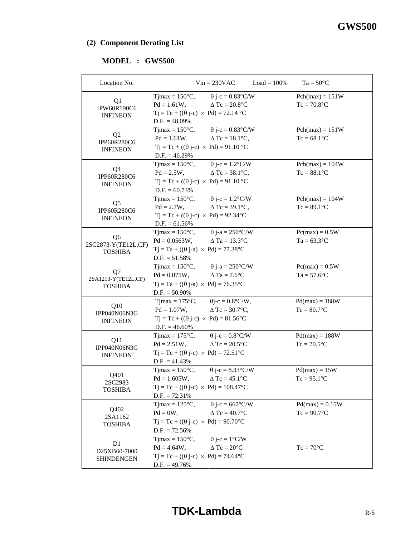# **(2) Component Derating List**

# **MODEL : GWS500**

| Location No.                                            |                                                                   | $Vin = 230VAC$                                                                                                                                                | $Load = 100\%$ | $Ta = 50^{\circ}C$                  |
|---------------------------------------------------------|-------------------------------------------------------------------|---------------------------------------------------------------------------------------------------------------------------------------------------------------|----------------|-------------------------------------|
| Q1<br>IPW60R190C6<br><b>INFINEON</b>                    | $D.F. = 48.09\%$                                                  | Timax = $150^{\circ}$ C, $\theta$ j-c = $0.83^{\circ}$ C/W<br>$Pd = 1.61W,$ $\Delta Tc = 20.8$ °C<br>$Tj = Tc + ((\theta j - c) \times Pd) = 72.14 °C$        |                | $Pch(max) = 151W$<br>$Tc = 70.8$ °C |
| Q <sub>2</sub><br>IPP60R280C6<br><b>INFINEON</b>        | $D.F. = 46.29\%$                                                  | Tjmax = $150^{\circ}$ C, $\theta$ j-c = $0.83^{\circ}$ C/W<br>$Pd = 1.61W,$ $\Delta Tc = 18.1^{\circ}C,$<br>$Tj = Tc + ((\theta j - c) \times Pd) = 91.10 °C$ |                | $Pch(max) = 151W$<br>$Tc = 68.1$ °C |
| Q4<br>IPP60R280C6<br><b>INFINEON</b>                    | $Pd = 2.5W$ ,<br>$D.F. = 60.73\%$                                 | Tjmax = $150^{\circ}$ C, $\theta$ j-c = $1.2^{\circ}$ C/W<br>$\Delta$ Tc = 38.1°C,<br>$Tj = Tc + ((\theta j - c) \times Pd) = 91.10 °C$                       |                | $Pch(max) = 104W$<br>$Tc = 88.1$ °C |
| Q <sub>5</sub><br>IPP60R280C6<br><b>INFINEON</b>        | $Pd = 2.7W$ ,<br>$D.F. = 61.56\%$                                 | Tjmax = $150^{\circ}$ C, $\theta$ j-c = $1.2^{\circ}$ C/W<br>$\Delta$ Tc = 39.1°C,<br>$Tj = Tc + ((\theta j - c) \times Pd) = 92.34$ °C                       |                | $Pch(max) = 104W$<br>$Tc = 89.1$ °C |
| Q <sub>6</sub><br>2SC2873-Y(TE12L,CF)<br><b>TOSHIBA</b> | $D.F. = 51.58\%$                                                  | Tjmax = $150^{\circ}$ C, $\theta$ j-a = $250^{\circ}$ C/W<br>$Pd = 0.0563W,$ $\Delta Ta = 13.3^{\circ}C$<br>$Tj = Ta + ((\theta j - a) \times Pd) = 77.38$ °C |                | $Pc(max) = 0.5W$<br>$Ta = 63.3$ °C  |
| Q7<br>2SA1213-Y(TE12L,CF)<br><b>TOSHIBA</b>             | $Pd = 0.075W,$<br>$D.F. = 50.90\%$                                | Tjmax = $150^{\circ}$ C, $\theta$ j-a = $250^{\circ}$ C/W<br>$\triangle$ Ta = 7.6°C<br>$Tj = Ta + ((\theta j-a) \times Pd) = 76.35^{\circ}C$                  |                | $Pc(max) = 0.5W$<br>$Ta = 57.6$ °C  |
| Q10<br>IPP040N06N3G<br><b>INFINEON</b>                  | $Pd = 1.07W$ ,<br>$D.F. = 46.60\%$                                | Tjmax = $175^{\circ}$ C, $\theta$ j-c = $0.8^{\circ}$ C/W,<br>$\Delta$ Tc = 30.7°C,<br>$Tj = Tc + ((\theta j - c) \times Pd) = 81.56^{\circ}C$                |                | $Pd(max) = 188W$<br>$Tc = 80.7$ °C  |
| Q11<br>IPP040N06N3G<br><b>INFINEON</b>                  | $Pd = 2.51W,$<br>$D.F. = 41.43\%$                                 | Tjmax = $175^{\circ}$ C, $\theta$ j-c = $0.8^{\circ}$ C/W<br>$\triangle$ Tc = 20.5 $\degree$ C<br>$Tj = Tc + ((\theta j - c) \times Pd) = 72.51^{\circ}C$     |                | $Pd(max) = 188W$<br>$Tc = 70.5$ °C  |
| Q401<br>2SC2983<br><b>TOSHIBA</b>                       | $T$ jmax = 150 $\degree$ C,<br>$Pd = 1.605W,$<br>$D.F. = 72.31\%$ | $\theta$ j-c = 8.33°C/W<br>$\triangle$ Tc = 45.1°C<br>$Tj = Tc + ((\theta j - c) \times Pd) = 108.47$ °C                                                      |                | $Pd(max) = 15W$<br>$Tc = 95.1$ °C   |
| Q402<br>2SA1162<br><b>TOSHIBA</b>                       | Tjmax = $125^{\circ}C$ ,<br>$Pd = 0W,$<br>$D.F. = 72.56\%$        | $\theta$ j-c = 667°C/W<br>$\triangle$ Tc = 40.7 $\degree$ C<br>$Tj = Tc + ((\theta j - c) \times Pd) = 90.70^{\circ}C$                                        |                | $Pd(max) = 0.15W$<br>$Tc = 90.7$ °C |
| D1<br>D25XB60-7000<br>SHINDENGEN                        | Tjmax = $150^{\circ}$ C,<br>$Pd = 4.64W,$<br>$D.F. = 49.76\%$     | $\theta$ j-c = 1°C/W<br>$\triangle$ Tc = 20 $^{\circ}$ C<br>$Tj = Tc + ((\theta j - c) \times Pd) = 74.64^{\circ}C$                                           |                | $Tc = 70$ °C                        |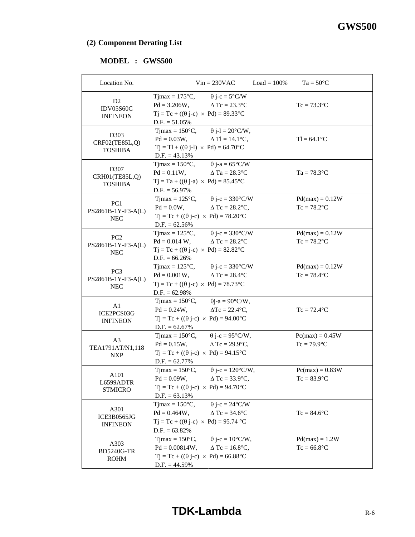# **(2) Component Derating List**

# **MODEL : GWS500**

| Location No.                                          |                                                                     | $Vin = 230VAC$                                                                                                                                                          | $Load = 100\%$ | $Ta = 50^{\circ}C$                  |  |
|-------------------------------------------------------|---------------------------------------------------------------------|-------------------------------------------------------------------------------------------------------------------------------------------------------------------------|----------------|-------------------------------------|--|
| D <sub>2</sub><br><b>IDV05S60C</b><br><b>INFINEON</b> | $D.F. = 51.05\%$                                                    | Tjmax = $175^{\circ}$ C, $\theta$ j-c = $5^{\circ}$ C/W<br>$Pd = 3.206W,$ $\Delta Tc = 23.3^{\circ}C$<br>$Tj = Tc + ((\theta j - c) \times Pd) = 89.33^{\circ}C$        |                | $Tc = 73.3$ °C                      |  |
| D303<br>CRF02(TE85L,Q)<br><b>TOSHIBA</b>              | $D.F. = 43.13\%$                                                    | Tjmax = $150^{\circ}$ C, $\qquad \theta$ j-l = $20^{\circ}$ C/W,<br>$Pd = 0.03W,$ $\Delta Tl = 14.1^{\circ}C,$<br>$Tj = Tl + ((\theta j-l) \times Pd) = 64.70^{\circ}C$ |                | $TI = 64.1$ °C                      |  |
| D307<br>CRH01(TE85L,Q)<br><b>TOSHIBA</b>              | $D.F. = 56.97\%$                                                    | Tjmax = $150^{\circ}$ C, $\theta$ j-a = $65^{\circ}$ C/W<br>$Pd = 0.11W$ , $\Delta Ta = 28.3^{\circ}C$<br>$Tj = Ta + ((\theta j-a) \times Pd) = 85.45^{\circ}C$         |                | $Ta = 78.3$ °C                      |  |
| PC <sub>1</sub><br>PS2861B-1Y-F3-A(L)<br><b>NEC</b>   | $D.F. = 62.56\%$                                                    | Tjmax = $125^{\circ}$ C, $\theta$ j-c = 330°C/W<br>$Pd = 0.0W,$ $\Delta Tc = 28.2^{\circ}C,$<br>$Tj = Tc + ((\theta j - c) \times Pd) = 78.20^{\circ}C$                 |                | $Pd(max) = 0.12W$<br>$Tc = 78.2$ °C |  |
| PC <sub>2</sub><br>PS2861B-1Y-F3-A(L)<br><b>NEC</b>   | $D.F. = 66.26\%$                                                    | Tjmax = $125^{\circ}$ C, $\theta$ j-c = $330^{\circ}$ C/W<br>$Pd = 0.014 W$ , $\Delta Tc = 28.2^{\circ}C$<br>$Tj = Tc + ((\theta j - c) \times Pd) = 82.82^{\circ}C$    |                | $Pd(max) = 0.12W$<br>$Tc = 78.2$ °C |  |
| PC <sub>3</sub><br>PS2861B-1Y-F3-A(L)<br><b>NEC</b>   | $D.F. = 62.98\%$                                                    | Tjmax = $125^{\circ}$ C, $\theta$ j-c = $330^{\circ}$ C/W<br>$Pd = 0.001W,$ $\Delta Tc = 28.4^{\circ}C$<br>$Tj = Tc + ((\theta j - c) \times Pd) = 78.73$ °C            |                | $Pd(max) = 0.12W$<br>$Tc = 78.4$ °C |  |
| A1<br>ICE2PCS03G<br><b>INFINEON</b>                   | $T$ jmax = 150 $\degree$ C,<br>$D.F. = 62.67\%$                     | $\theta$ j-a = 90°C/W,<br>$Pd = 0.24W$ , $\Delta Tc = 22.4^{\circ}C$ ,<br>$Tj = Tc + ((\theta j - c) \times Pd) = 94.00^{\circ}C$                                       |                | $Tc = 72.4$ °C                      |  |
| A <sub>3</sub><br>TEA1791AT/N1,118<br><b>NXP</b>      | $Pd = 0.15W,$<br>$D.F. = 62.77\%$                                   | Tjmax = $150^{\circ}$ C, $\theta$ j-c = $95^{\circ}$ C/W,<br>$\triangle$ Tc = 29.9 $\degree$ C,<br>$Tj = Tc + ((\theta j - c) \times Pd) = 94.15^{\circ}C$              |                | $Pc(max) = 0.45W$<br>$Tc = 79.9$ °C |  |
| A101<br>L6599ADTR<br><b>STMICRO</b>                   | $T$ jmax = 150 $\degree$ C,<br>$D.F. = 63.13\%$                     | $\theta$ j-c = 120°C/W,<br>$Pd = 0.09W$ , $\Delta Tc = 33.9^{\circ}C$ ,<br>$Tj = Tc + ((\theta j - c) \times Pd) = 94.70^{\circ}C$                                      |                | $Pc(max) = 0.83W$<br>$Tc = 83.9$ °C |  |
| A301<br>ICE3B0565JG<br><b>INFINEON</b>                | Tjmax = $150^{\circ}$ C,<br>$Pd = 0.464W,$<br>$D.F. = 63.82\%$      | $\theta$ j-c = 24°C/W<br>$\triangle$ Tc = 34.6 $\degree$ C<br>$Tj = Tc + ((\theta j - c) \times Pd) = 95.74 °C$                                                         |                | $Tc = 84.6$ °C                      |  |
| A303<br><b>BD5240G-TR</b><br><b>ROHM</b>              | $T$ jmax = 150 $\degree$ C,<br>$Pd = 0.00814W,$<br>$D.F. = 44.59\%$ | $\theta$ j-c = 10°C/W,<br>$\Delta$ Tc = 16.8°C,<br>$Tj = Tc + ((\theta j - c) \times Pd) = 66.88^{\circ}C$                                                              |                | $Pd(max) = 1.2W$<br>$Tc = 66.8$ °C  |  |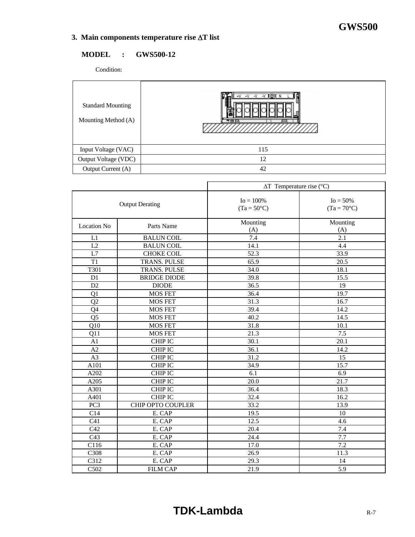$\mathbf{r}$ 

# **3. Main components temperature rise** ∆**T list**

# **MODEL : GWS500-12**

Condition:

| <b>Standard Mounting</b><br>Mounting Method (A) | V)⊛(N<br>$-V - V$<br>70 E |
|-------------------------------------------------|---------------------------|
| Input Voltage (VAC)                             | 115                       |
| Output Voltage (VDC)                            | 12                        |
| Output Current (A)                              | 42                        |

|                        |                     | $\Delta T$ Temperature rise (°C)     |                                     |  |
|------------------------|---------------------|--------------------------------------|-------------------------------------|--|
| <b>Output Derating</b> |                     | $Io = 100\%$<br>$(Ta = 50^{\circ}C)$ | $Io = 50\%$<br>$(Ta = 70^{\circ}C)$ |  |
| <b>Location No</b>     | Parts Name          | Mounting<br>(A)                      | Mounting<br>(A)                     |  |
| L1                     | <b>BALUN COIL</b>   | 7.4                                  | 2.1                                 |  |
| L2                     | <b>BALUN COIL</b>   | 14.1                                 | 4.4                                 |  |
| L7                     | <b>CHOKE COIL</b>   | 52.3                                 | 33.9                                |  |
| T1                     | <b>TRANS. PULSE</b> | 65.9                                 | 20.5                                |  |
| T301                   | TRANS. PULSE        | 34.0                                 | 18.1                                |  |
| $\overline{D1}$        | <b>BRIDGE DIODE</b> | 39.8                                 | 15.5                                |  |
| D2                     | <b>DIODE</b>        | 36.5                                 | 19                                  |  |
| Q1                     | <b>MOS FET</b>      | 36.4                                 | 19.7                                |  |
| Q2                     | <b>MOS FET</b>      | 31.3                                 | 16.7                                |  |
| Q4                     | <b>MOS FET</b>      | 39.4                                 | 14.2                                |  |
| $\overline{Q5}$        | <b>MOS FET</b>      | $\frac{40.2}{ }$                     | 14.5                                |  |
| $\overline{Q10}$       | <b>MOS FET</b>      | 31.8                                 | 10.1                                |  |
| Q11                    | <b>MOS FET</b>      | 21.3                                 | $\overline{7.5}$                    |  |
| A1                     | <b>CHIP IC</b>      | 30.1                                 | 20.1                                |  |
| A2                     | <b>CHIP IC</b>      | 36.1                                 | 14.2                                |  |
| A3                     | <b>CHIP IC</b>      | 31.2                                 | 15                                  |  |
| A101                   | <b>CHIP IC</b>      | 34.9                                 | 15.7                                |  |
| A202                   | CHIP IC             | 6.1                                  | 6.9                                 |  |
| A205                   | <b>CHIP IC</b>      | 20.0                                 | 21.7                                |  |
| A301                   | CHIP IC             | 36.4                                 | 18.3                                |  |
| A401                   | <b>CHIP IC</b>      | 32.4                                 | 16.2                                |  |
| PC3                    | CHIP OPTO COUPLER   | 33.2                                 | 13.9                                |  |
| C14                    | E. CAP              | 19.5                                 | 10                                  |  |
| C <sub>41</sub>        | E. CAP              | 12.5                                 | 4.6                                 |  |
| C42                    | E. CAP              | 20.4                                 | 7.4                                 |  |
| C43                    | E. CAP              | 24.4                                 | 7.7                                 |  |
| C116                   | E. CAP              | 17.0                                 | 7.2                                 |  |
| C308                   | E. CAP              | 26.9                                 | 11.3                                |  |
| C312                   | E. CAP              | 29.3                                 | 14                                  |  |
| C502                   | <b>FILM CAP</b>     | 21.9                                 | 5.9                                 |  |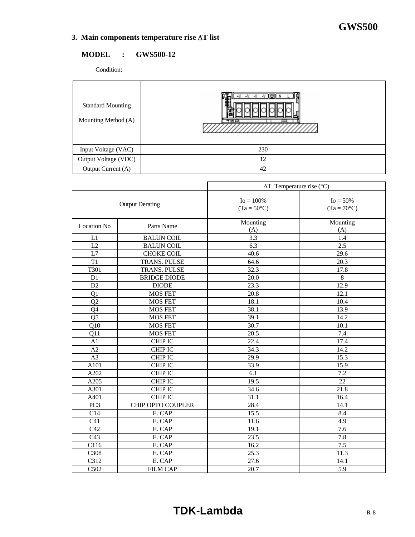$\overline{\phantom{a}}$ 

# **3. Main components temperature rise** ∆**T list**

# **MODEL : GWS500-12**

Condition:

| <b>Standard Mounting</b><br>Mounting Method (A) | $\sqrt{9}$<br>$-V - V$<br>70 E |
|-------------------------------------------------|--------------------------------|
| Input Voltage (VAC)                             | 230                            |
| Output Voltage (VDC)                            | 12                             |
| Output Current (A)                              | 42                             |

|                    |                        | $\Delta T$ Temperature rise (°C)     |                                     |  |  |  |  |  |  |  |
|--------------------|------------------------|--------------------------------------|-------------------------------------|--|--|--|--|--|--|--|
|                    | <b>Output Derating</b> | $Io = 100\%$<br>$(Ta = 50^{\circ}C)$ | $Io = 50\%$<br>$(Ta = 70^{\circ}C)$ |  |  |  |  |  |  |  |
| <b>Location No</b> | Parts Name             | Mounting<br>(A)                      | Mounting<br>(A)                     |  |  |  |  |  |  |  |
| L1                 | <b>BALUN COIL</b>      | 3.3                                  | 1.4                                 |  |  |  |  |  |  |  |
| L2                 | <b>BALUN COIL</b>      | 6.3                                  | 2.5                                 |  |  |  |  |  |  |  |
| L7                 | CHOKE COIL             | 40.6                                 | 29.6                                |  |  |  |  |  |  |  |
| T1                 | TRANS. PULSE           | 64.6                                 | 20.3                                |  |  |  |  |  |  |  |
| T301               | TRANS. PULSE           | 32.3                                 | 17.8                                |  |  |  |  |  |  |  |
| D <sub>1</sub>     | <b>BRIDGE DIODE</b>    | $\overline{20.0}$                    | $\overline{8}$                      |  |  |  |  |  |  |  |
| D <sub>2</sub>     | <b>DIODE</b>           | 23.3                                 | 12.9                                |  |  |  |  |  |  |  |
| Q1                 | <b>MOS FET</b>         | 20.8                                 | 12.1                                |  |  |  |  |  |  |  |
| Q2                 | <b>MOS FET</b>         | 18.1                                 | 10.4                                |  |  |  |  |  |  |  |
| Q4                 | <b>MOS FET</b>         | 38.1                                 | 13.9                                |  |  |  |  |  |  |  |
| $\overline{Q5}$    | <b>MOS FET</b>         | 39.1                                 | 14.2                                |  |  |  |  |  |  |  |
| $\overline{Q10}$   | <b>MOS FET</b>         | 30.7                                 | 10.1                                |  |  |  |  |  |  |  |
| Q11                | <b>MOS FET</b>         | 20.5                                 | 7.4                                 |  |  |  |  |  |  |  |
| A1                 | <b>CHIP IC</b>         | 22.4                                 | 17.4                                |  |  |  |  |  |  |  |
| A2                 | <b>CHIP IC</b>         | 34.3                                 | 14.2                                |  |  |  |  |  |  |  |
| $\overline{A3}$    | <b>CHIP IC</b>         | 29.9                                 | 15.3                                |  |  |  |  |  |  |  |
| A101               | <b>CHIP IC</b>         | 33.9                                 | 15.9                                |  |  |  |  |  |  |  |
| A202               | <b>CHIP IC</b>         | 6.1                                  | 7.2                                 |  |  |  |  |  |  |  |
| A205               | <b>CHIP IC</b>         | 19.5                                 | 22                                  |  |  |  |  |  |  |  |
| A301               | <b>CHIP IC</b>         | 34.6                                 | 21.8                                |  |  |  |  |  |  |  |
| A401               | <b>CHIP IC</b>         | 31.1                                 | 16.4                                |  |  |  |  |  |  |  |
| PC <sub>3</sub>    | CHIP OPTO COUPLER      | 28.4                                 | 14.1                                |  |  |  |  |  |  |  |
| C14                | E. CAP                 | 15.5                                 | 8.4                                 |  |  |  |  |  |  |  |
| C <sub>41</sub>    | E. CAP                 | 11.6                                 | 4.9                                 |  |  |  |  |  |  |  |
| C42                | E. CAP                 | 19.1                                 | 7.6                                 |  |  |  |  |  |  |  |
| C43                | E. CAP                 | 23.5                                 | 7.8                                 |  |  |  |  |  |  |  |
| C116               | E. CAP                 | 16.2                                 | 7.5                                 |  |  |  |  |  |  |  |
| C308               | E. CAP                 | 25.3                                 | 11.3                                |  |  |  |  |  |  |  |
| C312               | E. CAP                 | 27.6                                 | 14.1                                |  |  |  |  |  |  |  |
| C502               | <b>FILM CAP</b>        | 20.7                                 | 5.9                                 |  |  |  |  |  |  |  |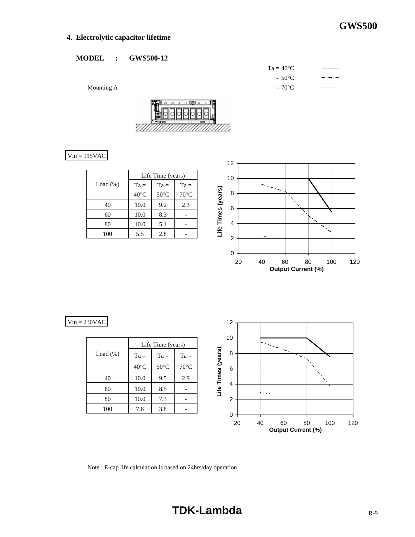# **4. Electrolytic capacitor lifetime**

### **MODEL : GWS500-12**

 $Ta = 40^{\circ}C$  $= 50^{\circ}C$ Mounting A  $= 70^{\circ}$ C —…





# $Vin = 115VAC$

|             | Life Time (years) |                |                |  |  |  |  |  |  |  |  |
|-------------|-------------------|----------------|----------------|--|--|--|--|--|--|--|--|
| Load $(\%)$ | $Ta =$            | $Ta =$         | $Ta =$         |  |  |  |  |  |  |  |  |
|             | $40^{\circ}$ C    | $50^{\circ}$ C | $70^{\circ}$ C |  |  |  |  |  |  |  |  |
| 40          | 10.0              | 9.2            | 2.3            |  |  |  |  |  |  |  |  |
| 60          | 10.0              | 8.3            |                |  |  |  |  |  |  |  |  |
| 80          | 10.0              | 5.1            |                |  |  |  |  |  |  |  |  |
| 100         | 5.5               | 2.8            |                |  |  |  |  |  |  |  |  |



 $Vin = 230VAC$ 

|             | Life Time (years) |                |                |  |  |  |  |  |  |  |
|-------------|-------------------|----------------|----------------|--|--|--|--|--|--|--|
| Load $(\%)$ | $Ta =$            | $Ta =$         | $Ta =$         |  |  |  |  |  |  |  |
|             | $40^{\circ}$ C    | $50^{\circ}$ C | $70^{\circ}$ C |  |  |  |  |  |  |  |
| 40          | 10.0              | 9.5            | 2.9            |  |  |  |  |  |  |  |
| 60          | 10.0              | 8.5            |                |  |  |  |  |  |  |  |
| 80          | 10.0              | 7.3            |                |  |  |  |  |  |  |  |
| 100         | 7.6               | 3.8            |                |  |  |  |  |  |  |  |



Note : E-cap life calculation is based on 24hrs/day operation.

# **TDK-Lambda** R-9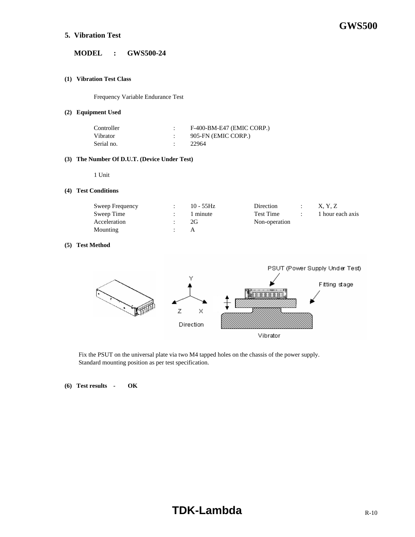## **5. Vibration Test**

#### **MODEL : GWS500-24**

#### **(1) Vibration Test Class**

Frequency Variable Endurance Test

#### **(2) Equipment Used**

| Controller | F-400-BM-E47 (EMIC CORP.) |
|------------|---------------------------|
| Vibrator   | 905-FN (EMIC CORP.)       |
| Serial no. | 22964                     |

#### **(3) The Number Of D.U.T. (Device Under Test)**

1 Unit

#### **(4) Test Conditions**

| Sweep Frequency | $10 - 55$ Hz | Direction     | X. Y. Z          |
|-----------------|--------------|---------------|------------------|
| Sweep Time      | 1 minute     | Test Time     | 1 hour each axis |
| Acceleration    | 2G           | Non-operation |                  |
| Mounting        |              |               |                  |

#### **(5) Test Method**



 Fix the PSUT on the universal plate via two M4 tapped holes on the chassis of the power supply. Standard mounting position as per test specification.

**(6) Test results - OK**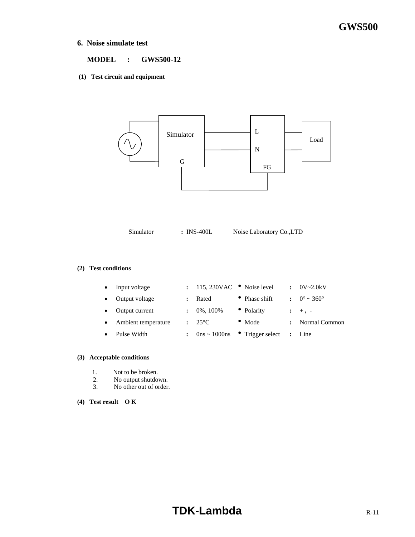### **6. Noise simulate test**

#### **MODEL : GWS500-12**

#### **(1) Test circuit and equipment**



Simulator **:** INS-400L Noise Laboratory Co., LTD

#### **(2) Test conditions**

| $\bullet$ | Input voltage       | $: 115,230VAC$ Noise level |                                                  | $\mathbf{r}$   | $0V - 2.0kV$           |
|-----------|---------------------|----------------------------|--------------------------------------------------|----------------|------------------------|
| $\bullet$ | Output voltage      | Rated                      | • Phase shift                                    |                | $\therefore$ 0° ~ 360° |
|           | Output current      | 0%, 100%                   | • Polarity                                       |                | $\mathbf{1}$ +, -      |
| $\bullet$ | Ambient temperature | $: 25^{\circ}C$            | $\bullet$ Mode                                   | $\ddot{\cdot}$ | Normal Common          |
|           | Pulse Width         |                            | $0 \text{ns} \sim 1000 \text{ns}$ Trigger select |                | $\therefore$ Line      |

#### **(3) Acceptable conditions**

- 1. Not to be broken.
- 2. No output shutdown.<br>3. No other out of order.
- No other out of order.
- **(4) Test result O K**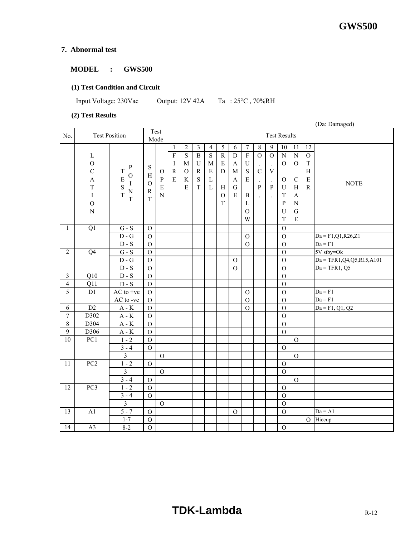# **7. Abnormal test**

## **MODEL : GWS500**

# **(1) Test Condition and Circuit**

Input Voltage: 230Vac Output: 12V 42A Ta : 25°C , 70%RH

## **(2) Test Results**

|                         |                                                                                                             |                                                                                                              |                                                           |                                                               |                                            |                                                                               |                                                                   |                                                                                   |                                                                                                 |                                                                                       |                                                                                                 | (Da: Damaged)                                                                                 |                                                                                                               |                                                                                                                 |                                                                                                                               |                                                                                                             |                                |
|-------------------------|-------------------------------------------------------------------------------------------------------------|--------------------------------------------------------------------------------------------------------------|-----------------------------------------------------------|---------------------------------------------------------------|--------------------------------------------|-------------------------------------------------------------------------------|-------------------------------------------------------------------|-----------------------------------------------------------------------------------|-------------------------------------------------------------------------------------------------|---------------------------------------------------------------------------------------|-------------------------------------------------------------------------------------------------|-----------------------------------------------------------------------------------------------|---------------------------------------------------------------------------------------------------------------|-----------------------------------------------------------------------------------------------------------------|-------------------------------------------------------------------------------------------------------------------------------|-------------------------------------------------------------------------------------------------------------|--------------------------------|
| No.                     |                                                                                                             | <b>Test Position</b>                                                                                         |                                                           | Test<br>Mode                                                  |                                            | <b>Test Results</b>                                                           |                                                                   |                                                                                   |                                                                                                 |                                                                                       |                                                                                                 |                                                                                               |                                                                                                               |                                                                                                                 |                                                                                                                               |                                                                                                             |                                |
|                         | $\mathbf L$<br>$\overline{O}$<br>$\mathbf C$<br>A<br>$\rm T$<br>$\rm I$<br>$\overline{O}$<br>$\overline{N}$ | ${\bf P}$<br>T<br>$\mathbf{O}$<br>$\overline{E}$<br>$\rm I$<br>$\frac{S}{T}$<br>$\overline{\mathbf{N}}$<br>T | S<br>$\, {\rm H}$<br>$\rm{O}$<br>${\bf R}$<br>$\mathbf T$ | $\mathbf{O}$<br>$\, {\bf p}$<br>$\mathbf E$<br>$\overline{N}$ | 1<br>$\overline{F}$<br>I<br>${\bf R}$<br>E | $\sqrt{2}$<br>$\overline{S}$<br>$\mathbf{M}$<br>$\mathcal{O}$<br>$\rm K$<br>E | 3<br>$\overline{B}$<br>$\mathbf U$<br>${\bf R}$<br>S<br>$\bar{T}$ | $\overline{4}$<br>$\overline{S}$<br>$\mathbf{M}$<br>${\bf E}$<br>L<br>$\mathbf L$ | $\overline{5}$<br>$\overline{R}$<br>$\mathbf E$<br>$\mathbf D$<br>H<br>$\mathcal{O}$<br>$\rm T$ | 6<br>$\mathbf D$<br>$\boldsymbol{\mathsf{A}}$<br>$\mathbf M$<br>A<br>$\mathsf G$<br>E | 7<br>$\overline{F}$<br>$\mathbf U$<br>${\bf S}$<br>E<br>$\, {\bf B}$<br>L<br>$\mathcal{O}$<br>W | $\,8\,$<br>$\overline{O}$<br>$\mathbf C$<br>$\ddot{\phantom{a}}$<br>P<br>$\ddot{\phantom{0}}$ | 9<br>$\overline{0}$<br>$\Box$<br>$\ensuremath{\mathbf{V}}$<br>$\cdot$<br>$\, {\bf p}$<br>$\ddot{\phantom{a}}$ | $10\,$<br>$\overline{N}$<br>$\mathbf{O}$<br>$\Omega$<br>U<br>$\mathbf T$<br>${\bf P}$<br>$\mathbf U$<br>$\rm T$ | 11<br>$\overline{N}$<br>$\mathbf O$<br>$\mathcal{C}$<br>H<br>$\boldsymbol{\rm{A}}$<br>${\bf N}$<br>$\mathbf G$<br>$\mathbf E$ | $\overline{12}$<br>$\overline{O}$<br>$\mathbf T$<br>$\boldsymbol{\mathrm{H}}$<br>$\mathbf E$<br>$\mathbf R$ | <b>NOTE</b>                    |
| $\mathbf{1}$            | $\overline{Q1}$                                                                                             | ${\bf G}$ - ${\bf S}$                                                                                        | $\mathbf O$                                               |                                                               |                                            |                                                                               |                                                                   |                                                                                   |                                                                                                 |                                                                                       |                                                                                                 |                                                                                               |                                                                                                               | $\mathbf O$                                                                                                     |                                                                                                                               |                                                                                                             |                                |
|                         |                                                                                                             | $D - G$                                                                                                      | $\mathbf O$                                               |                                                               |                                            |                                                                               |                                                                   |                                                                                   |                                                                                                 |                                                                                       | $\mathcal{O}$                                                                                   |                                                                                               |                                                                                                               | $\mathcal{O}$                                                                                                   |                                                                                                                               |                                                                                                             | $Da = F1, Q1, R26, Z1$         |
|                         |                                                                                                             | $D-S$                                                                                                        | $\overline{O}$                                            |                                                               |                                            |                                                                               |                                                                   |                                                                                   |                                                                                                 |                                                                                       | $\mathcal{O}$                                                                                   |                                                                                               |                                                                                                               | $\mathcal{O}$                                                                                                   |                                                                                                                               |                                                                                                             | $Da = F1$                      |
| $\overline{2}$          | Q <sub>4</sub>                                                                                              | $G-S$<br>$D - G$                                                                                             | $\overline{O}$                                            |                                                               |                                            |                                                                               |                                                                   |                                                                                   |                                                                                                 |                                                                                       |                                                                                                 |                                                                                               |                                                                                                               | $\overline{O}$                                                                                                  |                                                                                                                               |                                                                                                             | 5V stby=Ok                     |
|                         |                                                                                                             | $D-S$                                                                                                        | $\overline{O}$                                            |                                                               |                                            |                                                                               |                                                                   |                                                                                   |                                                                                                 | $\Omega$                                                                              |                                                                                                 |                                                                                               |                                                                                                               | $\mathbf O$                                                                                                     |                                                                                                                               |                                                                                                             | $Da = TFR1, Q4, Q5, R15, A101$ |
| $\overline{\mathbf{3}}$ | $\overline{Q10}$                                                                                            | $D-S$                                                                                                        | $\overline{O}$<br>$\overline{O}$                          |                                                               |                                            |                                                                               |                                                                   |                                                                                   |                                                                                                 | $\Omega$                                                                              |                                                                                                 |                                                                                               |                                                                                                               | $\overline{O}$                                                                                                  |                                                                                                                               |                                                                                                             | $Da = TFR1, Q5$                |
| $\overline{4}$          |                                                                                                             | $D-S$                                                                                                        |                                                           |                                                               |                                            |                                                                               |                                                                   |                                                                                   |                                                                                                 |                                                                                       |                                                                                                 |                                                                                               |                                                                                                               | $\overline{O}$                                                                                                  |                                                                                                                               |                                                                                                             |                                |
| 5                       | Q11<br>$\overline{D1}$                                                                                      | $AC$ to +ve                                                                                                  | $\mathcal{O}$<br>$\overline{O}$                           |                                                               |                                            |                                                                               |                                                                   |                                                                                   |                                                                                                 |                                                                                       | $\mathcal{O}$                                                                                   |                                                                                               |                                                                                                               | $\mathcal{O}$<br>$\mathcal{O}$                                                                                  |                                                                                                                               |                                                                                                             | $Da = F1$                      |
|                         |                                                                                                             | AC to -ve                                                                                                    | $\overline{O}$                                            |                                                               |                                            |                                                                               |                                                                   |                                                                                   |                                                                                                 |                                                                                       | $\mathcal{O}$                                                                                   |                                                                                               |                                                                                                               | $\mathbf O$                                                                                                     |                                                                                                                               |                                                                                                             | $Da = F1$                      |
| 6                       | $\overline{D2}$                                                                                             | $A - K$                                                                                                      | $\mathcal O$                                              |                                                               |                                            |                                                                               |                                                                   |                                                                                   |                                                                                                 |                                                                                       | $\overline{O}$                                                                                  |                                                                                               |                                                                                                               | $\mathbf{O}$                                                                                                    |                                                                                                                               |                                                                                                             | $Da = F1, Q1, Q2$              |
| $\overline{7}$          | D302                                                                                                        | $A - K$                                                                                                      | $\mathbf O$                                               |                                                               |                                            |                                                                               |                                                                   |                                                                                   |                                                                                                 |                                                                                       |                                                                                                 |                                                                                               |                                                                                                               | $\mathcal{O}$                                                                                                   |                                                                                                                               |                                                                                                             |                                |
| $\overline{8}$          | D304                                                                                                        | $A - K$                                                                                                      | $\mathcal{O}$                                             |                                                               |                                            |                                                                               |                                                                   |                                                                                   |                                                                                                 |                                                                                       |                                                                                                 |                                                                                               |                                                                                                               | $\mathbf O$                                                                                                     |                                                                                                                               |                                                                                                             |                                |
| $\overline{9}$          | D306                                                                                                        | $A - K$                                                                                                      | $\mathbf O$                                               |                                                               |                                            |                                                                               |                                                                   |                                                                                   |                                                                                                 |                                                                                       |                                                                                                 |                                                                                               |                                                                                                               | $\mathcal{O}$                                                                                                   |                                                                                                                               |                                                                                                             |                                |
| 10                      | PC1                                                                                                         | $1 - 2$                                                                                                      | $\overline{O}$                                            |                                                               |                                            |                                                                               |                                                                   |                                                                                   |                                                                                                 |                                                                                       |                                                                                                 |                                                                                               |                                                                                                               |                                                                                                                 | $\mathcal{O}$                                                                                                                 |                                                                                                             |                                |
|                         |                                                                                                             | $3 - 4$                                                                                                      | $\mathcal{O}$                                             |                                                               |                                            |                                                                               |                                                                   |                                                                                   |                                                                                                 |                                                                                       |                                                                                                 |                                                                                               |                                                                                                               | $\mathbf{O}$                                                                                                    |                                                                                                                               |                                                                                                             |                                |
|                         |                                                                                                             | $\overline{3}$                                                                                               |                                                           | $\mathbf O$                                                   |                                            |                                                                               |                                                                   |                                                                                   |                                                                                                 |                                                                                       |                                                                                                 |                                                                                               |                                                                                                               |                                                                                                                 | $\mathcal{O}$                                                                                                                 |                                                                                                             |                                |
| 11                      | PC <sub>2</sub>                                                                                             | $1 - 2$                                                                                                      | $\overline{O}$                                            |                                                               |                                            |                                                                               |                                                                   |                                                                                   |                                                                                                 |                                                                                       |                                                                                                 |                                                                                               |                                                                                                               | $\mathbf O$                                                                                                     |                                                                                                                               |                                                                                                             |                                |
|                         |                                                                                                             | $\overline{3}$                                                                                               |                                                           | $\mathbf O$                                                   |                                            |                                                                               |                                                                   |                                                                                   |                                                                                                 |                                                                                       |                                                                                                 |                                                                                               |                                                                                                               | $\mathbf{O}$                                                                                                    |                                                                                                                               |                                                                                                             |                                |
|                         |                                                                                                             | $3 - 4$                                                                                                      | $\overline{O}$                                            |                                                               |                                            |                                                                               |                                                                   |                                                                                   |                                                                                                 |                                                                                       |                                                                                                 |                                                                                               |                                                                                                               |                                                                                                                 | $\mathbf O$                                                                                                                   |                                                                                                             |                                |
| 12                      | PC3                                                                                                         | $1 - 2$                                                                                                      | $\overline{O}$                                            |                                                               |                                            |                                                                               |                                                                   |                                                                                   |                                                                                                 |                                                                                       |                                                                                                 |                                                                                               |                                                                                                               | $\mathbf{O}$                                                                                                    |                                                                                                                               |                                                                                                             |                                |
|                         |                                                                                                             | $3 - 4$                                                                                                      | $\mathcal{O}$                                             |                                                               |                                            |                                                                               |                                                                   |                                                                                   |                                                                                                 |                                                                                       |                                                                                                 |                                                                                               |                                                                                                               | $\Omega$                                                                                                        |                                                                                                                               |                                                                                                             |                                |
|                         |                                                                                                             | $\overline{3}$                                                                                               |                                                           | $\mathcal O$                                                  |                                            |                                                                               |                                                                   |                                                                                   |                                                                                                 |                                                                                       |                                                                                                 |                                                                                               |                                                                                                               | $\mathcal{O}$                                                                                                   |                                                                                                                               |                                                                                                             |                                |
| 13                      | A1                                                                                                          | $5 - 7$                                                                                                      | $\mathbf O$                                               |                                                               |                                            |                                                                               |                                                                   |                                                                                   |                                                                                                 | $\mathbf O$                                                                           |                                                                                                 |                                                                                               |                                                                                                               | $\mathcal{O}$                                                                                                   |                                                                                                                               |                                                                                                             | $Da = A1$                      |
|                         |                                                                                                             | $1 - 7$                                                                                                      | $\overline{O}$                                            |                                                               |                                            |                                                                               |                                                                   |                                                                                   |                                                                                                 |                                                                                       |                                                                                                 |                                                                                               |                                                                                                               |                                                                                                                 |                                                                                                                               | $\overline{O}$                                                                                              | Hiccup                         |
| 14                      | $\overline{A3}$                                                                                             | $8 - 2$                                                                                                      | $\mathbf{O}$                                              |                                                               |                                            |                                                                               |                                                                   |                                                                                   |                                                                                                 |                                                                                       |                                                                                                 |                                                                                               |                                                                                                               | $\mathcal{O}$                                                                                                   |                                                                                                                               |                                                                                                             |                                |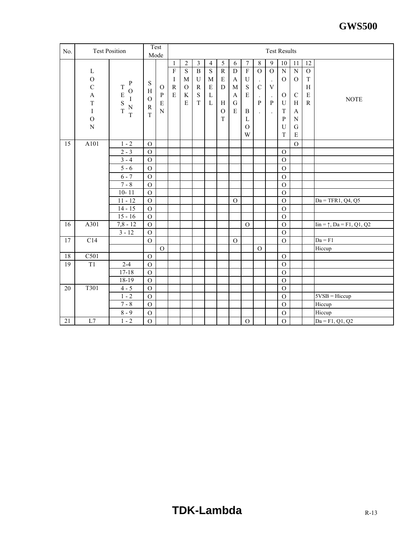| No. |                                                                                                                                    | <b>Test Position</b>                                                              |                                                       | Test<br>Mode                                        | <b>Test Results</b>                          |                                                                      |                                                                                              |                                                                                    |                                                                                       |                                                   |                                                                                                                  |                                                                      |                                                                 |                                                                                                    |                                                                                                                    |                                                                           |                                           |
|-----|------------------------------------------------------------------------------------------------------------------------------------|-----------------------------------------------------------------------------------|-------------------------------------------------------|-----------------------------------------------------|----------------------------------------------|----------------------------------------------------------------------|----------------------------------------------------------------------------------------------|------------------------------------------------------------------------------------|---------------------------------------------------------------------------------------|---------------------------------------------------|------------------------------------------------------------------------------------------------------------------|----------------------------------------------------------------------|-----------------------------------------------------------------|----------------------------------------------------------------------------------------------------|--------------------------------------------------------------------------------------------------------------------|---------------------------------------------------------------------------|-------------------------------------------|
|     | $\mathbf{L}$<br>$\rm{O}$<br>$\mathbf C$<br>$\boldsymbol{\mathsf{A}}$<br>$\mathbf T$<br>$\bf I$<br>$\overline{O}$<br>$\overline{N}$ | $\mathbf P$<br>T<br>$\mathcal{O}$<br>$\frac{E}{S}$<br>$\rm I$<br>$\mathbf N$<br>T | S<br>H<br>$\mathcal O$<br>${\bf R}$<br>$\overline{T}$ | $\mathbf{O}$<br>${\bf P}$<br>${\bf E}$<br>${\bf N}$ | 1<br>$\overline{F}$<br>I<br>$\mathbf R$<br>E | $\sqrt{2}$<br>$\overline{S}$<br>M<br>$\mathcal{O}$<br>K<br>${\bf E}$ | $\overline{\mathbf{3}}$<br>$\overline{B}$<br>$\mathbf U$<br>$\mathbb{R}$<br>S<br>$\mathbf T$ | $\overline{4}$<br>$\overline{S}$<br>$\mathbf M$<br>$\mathbf E$<br>L<br>$\mathbf L$ | $\overline{5}$<br>$\overline{R}$<br>$\mathbf E$<br>D<br>H<br>$\mathcal{O}$<br>$\rm T$ | 6<br>$\mathbf D$<br>A<br>M<br>A<br>${\bf G}$<br>E | $\boldsymbol{7}$<br>$\overline{F}$<br>$\mathbf U$<br>S<br>${\bf E}$<br>$\bf{B}$<br>$\mathbf{L}$<br>$\Omega$<br>W | 8<br>$\Omega$<br>$\mathbf C$<br>$\mathbf{P}$<br>$\ddot{\phantom{a}}$ | 9<br>$\mathcal{O}$<br>$\ensuremath{\mathbf{V}}$<br>P<br>$\cdot$ | 10<br>$\overline{N}$<br>$\mathcal{O}$<br>$\mathcal{O}$<br>${\bf U}$<br>T<br>$\mathbf{P}$<br>U<br>T | 11<br>$\overline{N}$<br>$\mathcal{O}$<br>$\mathbf C$<br>$\, {\rm H}$<br>A<br>${\bf N}$<br>$\mathbf G$<br>${\bf E}$ | 12<br>$\mathcal O$<br>$\rm T$<br>$\, {\rm H}$<br>${\bf E}$<br>$\mathbf R$ | <b>NOTE</b>                               |
| 15  | A101                                                                                                                               | $1 - 2$                                                                           | $\mathcal{O}$                                         |                                                     |                                              |                                                                      |                                                                                              |                                                                                    |                                                                                       |                                                   |                                                                                                                  |                                                                      |                                                                 |                                                                                                    | $\mathcal{O}$                                                                                                      |                                                                           |                                           |
|     |                                                                                                                                    | $2 - 3$                                                                           | $\Omega$                                              |                                                     |                                              |                                                                      |                                                                                              |                                                                                    |                                                                                       |                                                   |                                                                                                                  |                                                                      |                                                                 | $\mathcal{O}$                                                                                      |                                                                                                                    |                                                                           |                                           |
|     |                                                                                                                                    | $3 - 4$                                                                           | $\mathbf{O}$                                          |                                                     |                                              |                                                                      |                                                                                              |                                                                                    |                                                                                       |                                                   |                                                                                                                  |                                                                      |                                                                 | $\mathbf{O}$                                                                                       |                                                                                                                    |                                                                           |                                           |
|     |                                                                                                                                    | $5 - 6$                                                                           | $\mathcal{O}$                                         |                                                     |                                              |                                                                      |                                                                                              |                                                                                    |                                                                                       |                                                   |                                                                                                                  |                                                                      |                                                                 | $\mathcal{O}$                                                                                      |                                                                                                                    |                                                                           |                                           |
|     |                                                                                                                                    | $6 - 7$                                                                           | $\mathbf O$                                           |                                                     |                                              |                                                                      |                                                                                              |                                                                                    |                                                                                       |                                                   |                                                                                                                  |                                                                      |                                                                 | $\mathcal{O}$                                                                                      |                                                                                                                    |                                                                           |                                           |
|     |                                                                                                                                    | $7 - 8$                                                                           | $\mathbf{O}$                                          |                                                     |                                              |                                                                      |                                                                                              |                                                                                    |                                                                                       |                                                   |                                                                                                                  |                                                                      |                                                                 | $\Omega$                                                                                           |                                                                                                                    |                                                                           |                                           |
|     |                                                                                                                                    | $10 - 11$                                                                         | $\overline{O}$                                        |                                                     |                                              |                                                                      |                                                                                              |                                                                                    |                                                                                       |                                                   |                                                                                                                  |                                                                      |                                                                 | $\overline{O}$                                                                                     |                                                                                                                    |                                                                           |                                           |
|     |                                                                                                                                    | $11 - 12$                                                                         | $\mathbf O$                                           |                                                     |                                              |                                                                      |                                                                                              |                                                                                    |                                                                                       | $\Omega$                                          |                                                                                                                  |                                                                      |                                                                 | $\Omega$                                                                                           |                                                                                                                    |                                                                           | $Da = TFR1, Q4, Q5$                       |
|     |                                                                                                                                    | $14 - 15$                                                                         | $\overline{O}$                                        |                                                     |                                              |                                                                      |                                                                                              |                                                                                    |                                                                                       |                                                   |                                                                                                                  |                                                                      |                                                                 | $\overline{0}$                                                                                     |                                                                                                                    |                                                                           |                                           |
|     |                                                                                                                                    | $15 - 16$                                                                         | $\mathcal{O}$                                         |                                                     |                                              |                                                                      |                                                                                              |                                                                                    |                                                                                       |                                                   |                                                                                                                  |                                                                      |                                                                 | $\mathcal{O}$                                                                                      |                                                                                                                    |                                                                           |                                           |
| 16  | A301                                                                                                                               | $7,8 - 12$                                                                        | $\overline{0}$                                        |                                                     |                                              |                                                                      |                                                                                              |                                                                                    |                                                                                       |                                                   | $\mathcal{O}$                                                                                                    |                                                                      |                                                                 | $\overline{0}$                                                                                     |                                                                                                                    |                                                                           | $\text{Iin} = \uparrow$ , Da = F1, Q1, Q2 |
|     |                                                                                                                                    | $3 - 12$                                                                          | $\mathcal{O}$                                         |                                                     |                                              |                                                                      |                                                                                              |                                                                                    |                                                                                       |                                                   |                                                                                                                  |                                                                      |                                                                 | $\mathcal{O}$                                                                                      |                                                                                                                    |                                                                           |                                           |
| 17  | C14                                                                                                                                |                                                                                   | $\mathcal{O}$                                         |                                                     |                                              |                                                                      |                                                                                              |                                                                                    |                                                                                       | $\mathcal{O}$                                     |                                                                                                                  |                                                                      |                                                                 | $\mathcal{O}$                                                                                      |                                                                                                                    |                                                                           | $Da = F1$                                 |
|     |                                                                                                                                    |                                                                                   |                                                       | $\mathbf O$                                         |                                              |                                                                      |                                                                                              |                                                                                    |                                                                                       |                                                   |                                                                                                                  | $\mathcal{O}$                                                        |                                                                 |                                                                                                    |                                                                                                                    |                                                                           | Hiccup                                    |
| 18  | C501                                                                                                                               |                                                                                   | $\mathbf{O}$                                          |                                                     |                                              |                                                                      |                                                                                              |                                                                                    |                                                                                       |                                                   |                                                                                                                  |                                                                      |                                                                 | $\mathcal O$                                                                                       |                                                                                                                    |                                                                           |                                           |
| 19  | $\overline{T1}$                                                                                                                    | $2 - 4$                                                                           | $\overline{O}$                                        |                                                     |                                              |                                                                      |                                                                                              |                                                                                    |                                                                                       |                                                   |                                                                                                                  |                                                                      |                                                                 | $\Omega$                                                                                           |                                                                                                                    |                                                                           |                                           |
|     |                                                                                                                                    | $17 - 18$                                                                         | $\overline{O}$                                        |                                                     |                                              |                                                                      |                                                                                              |                                                                                    |                                                                                       |                                                   |                                                                                                                  |                                                                      |                                                                 | $\mathbf O$                                                                                        |                                                                                                                    |                                                                           |                                           |
|     |                                                                                                                                    | 18-19                                                                             | $\mathcal{O}$                                         |                                                     |                                              |                                                                      |                                                                                              |                                                                                    |                                                                                       |                                                   |                                                                                                                  |                                                                      |                                                                 | $\mathbf{O}$                                                                                       |                                                                                                                    |                                                                           |                                           |
| 20  | T301                                                                                                                               | $4 - 5$                                                                           | $\mathbf O$                                           |                                                     |                                              |                                                                      |                                                                                              |                                                                                    |                                                                                       |                                                   |                                                                                                                  |                                                                      |                                                                 | $\mathcal{O}$                                                                                      |                                                                                                                    |                                                                           |                                           |
|     |                                                                                                                                    | $1 - 2$                                                                           | $\mathcal O$                                          |                                                     |                                              |                                                                      |                                                                                              |                                                                                    |                                                                                       |                                                   |                                                                                                                  |                                                                      |                                                                 | $\mathcal{O}$                                                                                      |                                                                                                                    |                                                                           | $5VSB = Hiccup$                           |
|     |                                                                                                                                    | $7 - 8$                                                                           | $\mathbf O$                                           |                                                     |                                              |                                                                      |                                                                                              |                                                                                    |                                                                                       |                                                   |                                                                                                                  |                                                                      |                                                                 | $\mathcal{O}$                                                                                      |                                                                                                                    |                                                                           | Hiccup                                    |
|     |                                                                                                                                    | $8 - 9$                                                                           | ${\rm O}$                                             |                                                     |                                              |                                                                      |                                                                                              |                                                                                    |                                                                                       |                                                   |                                                                                                                  |                                                                      |                                                                 | $\overline{O}$                                                                                     |                                                                                                                    |                                                                           | Hiccup                                    |
| 21  | L7                                                                                                                                 | $1 - 2$                                                                           | $\mathcal{O}$                                         |                                                     |                                              |                                                                      |                                                                                              |                                                                                    |                                                                                       |                                                   | $\mathcal O$                                                                                                     |                                                                      |                                                                 | $\mathcal{O}$                                                                                      |                                                                                                                    |                                                                           | $Da = F1, Q1, Q2$                         |